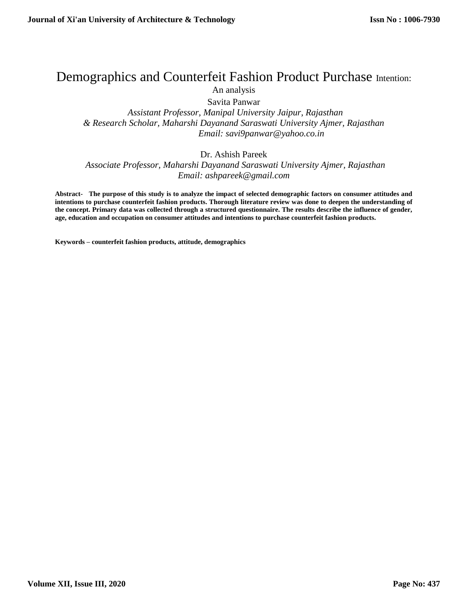# Demographics and Counterfeit Fashion Product Purchase Intention: An analysis

Savita Panwar

 *Assistant Professor, Manipal University Jaipur, Rajasthan & Research Scholar, Maharshi Dayanand Saraswati University Ajmer, Rajasthan Email: savi9panwar@yahoo.co.in*

## Dr. Ashish Pareek

 *Associate Professor, Maharshi Dayanand Saraswati University Ajmer, Rajasthan Email: ashpareek@gmail.com*

**Abstract- The purpose of this study is to analyze the impact of selected demographic factors on consumer attitudes and intentions to purchase counterfeit fashion products. Thorough literature review was done to deepen the understanding of the concept. Primary data was collected through a structured questionnaire. The results describe the influence of gender, age, education and occupation on consumer attitudes and intentions to purchase counterfeit fashion products.**

**Keywords – counterfeit fashion products, attitude, demographics**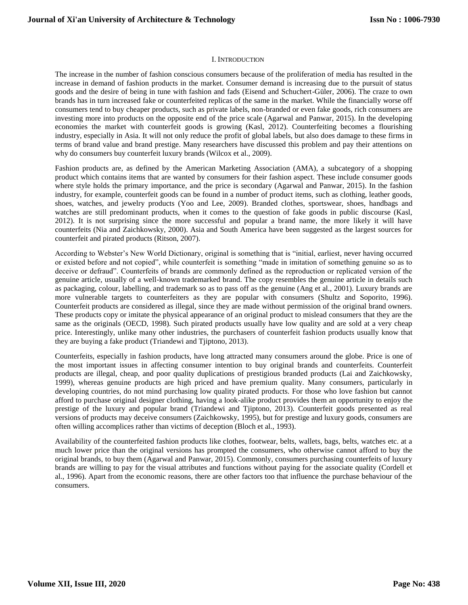#### I. INTRODUCTION

The increase in the number of fashion conscious consumers because of the proliferation of media has resulted in the increase in demand of fashion products in the market. Consumer demand is increasing due to the pursuit of status goods and the desire of being in tune with fashion and fads (Eisend and Schuchert-Güler, 2006). The craze to own brands has in turn increased fake or counterfeited replicas of the same in the market. While the financially worse off consumers tend to buy cheaper products, such as private labels, non-branded or even fake goods, rich consumers are investing more into products on the opposite end of the price scale (Agarwal and Panwar, 2015). In the developing economies the market with counterfeit goods is growing (Kasl, 2012). Counterfeiting becomes a flourishing industry, especially in Asia. It will not only reduce the profit of global labels, but also does damage to these firms in terms of brand value and brand prestige. Many researchers have discussed this problem and pay their attentions on why do consumers buy counterfeit luxury brands (Wilcox et al., 2009).

Fashion products are, as defined by the American Marketing Association (AMA), a subcategory of a shopping product which contains items that are wanted by consumers for their fashion aspect. These include consumer goods where style holds the primary importance, and the price is secondary (Agarwal and Panwar, 2015). In the fashion industry, for example, counterfeit goods can be found in a number of product items, such as clothing, leather goods, shoes, watches, and jewelry products (Yoo and Lee, 2009). Branded clothes, sportswear, shoes, handbags and watches are still predominant products, when it comes to the question of fake goods in public discourse (Kasl, 2012). It is not surprising since the more successful and popular a brand name, the more likely it will have counterfeits (Nia and Zaichkowsky, 2000). Asia and South America have been suggested as the largest sources for counterfeit and pirated products (Ritson, 2007).

According to Webster's New World Dictionary, original is something that is "initial, earliest, never having occurred or existed before and not copied", while counterfeit is something "made in imitation of something genuine so as to deceive or defraud". Counterfeits of brands are commonly defined as the reproduction or replicated version of the genuine article, usually of a well-known trademarked brand. The copy resembles the genuine article in details such as packaging, colour, labelling, and trademark so as to pass off as the genuine (Ang et al., 2001). Luxury brands are more vulnerable targets to counterfeiters as they are popular with consumers (Shultz and Soporito, 1996). Counterfeit products are considered as illegal, since they are made without permission of the original brand owners. These products copy or imitate the physical appearance of an original product to mislead consumers that they are the same as the originals (OECD, 1998). Such pirated products usually have low quality and are sold at a very cheap price. Interestingly, unlike many other industries, the purchasers of counterfeit fashion products usually know that they are buying a fake product (Triandewi and Tjiptono, 2013).

Counterfeits, especially in fashion products, have long attracted many consumers around the globe. Price is one of the most important issues in affecting consumer intention to buy original brands and counterfeits. Counterfeit products are illegal, cheap, and poor quality duplications of prestigious branded products (Lai and Zaichkowsky, 1999), whereas genuine products are high priced and have premium quality. Many consumers, particularly in developing countries, do not mind purchasing low quality pirated products. For those who love fashion but cannot afford to purchase original designer clothing, having a look-alike product provides them an opportunity to enjoy the prestige of the luxury and popular brand (Triandewi and Tjiptono, 2013). Counterfeit goods presented as real versions of products may deceive consumers (Zaichkowsky, 1995), but for prestige and luxury goods, consumers are often willing accomplices rather than victims of deception (Bloch et al., 1993).

Availability of the counterfeited fashion products like clothes, footwear, belts, wallets, bags, belts, watches etc. at a much lower price than the original versions has prompted the consumers, who otherwise cannot afford to buy the original brands, to buy them (Agarwal and Panwar, 2015). Commonly, consumers purchasing counterfeits of luxury brands are willing to pay for the visual attributes and functions without paying for the associate quality (Cordell et al., 1996). Apart from the economic reasons, there are other factors too that influence the purchase behaviour of the consumers.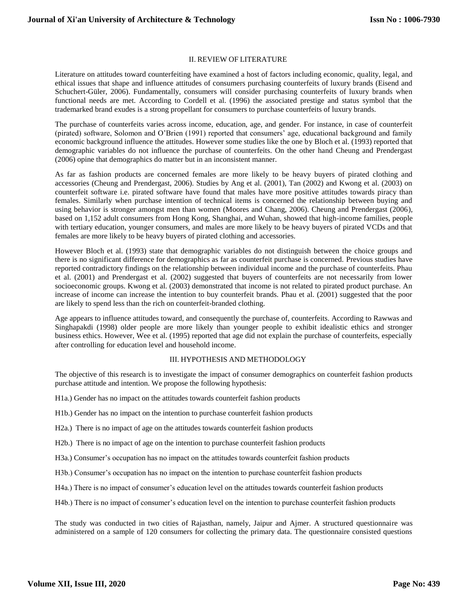#### II. REVIEW OF LITERATURE

Literature on attitudes toward counterfeiting have examined a host of factors including economic, quality, legal, and ethical issues that shape and influence attitudes of consumers purchasing counterfeits of luxury brands (Eisend and Schuchert-Güler, 2006). Fundamentally, consumers will consider purchasing counterfeits of luxury brands when functional needs are met. According to Cordell et al. (1996) the associated prestige and status symbol that the trademarked brand exudes is a strong propellant for consumers to purchase counterfeits of luxury brands.

The purchase of counterfeits varies across income, education, age, and gender. For instance, in case of counterfeit (pirated) software, Solomon and O'Brien (1991) reported that consumers' age, educational background and family economic background influence the attitudes. However some studies like the one by Bloch et al. (1993) reported that demographic variables do not influence the purchase of counterfeits. On the other hand Cheung and Prendergast (2006) opine that demographics do matter but in an inconsistent manner.

As far as fashion products are concerned females are more likely to be heavy buyers of pirated clothing and accessories (Cheung and Prendergast, 2006). Studies by Ang et al. (2001), Tan (2002) and Kwong et al. (2003) on counterfeit software i.e. pirated software have found that males have more positive attitudes towards piracy than females. Similarly when purchase intention of technical items is concerned the relationship between buying and using behavior is stronger amongst men than women (Moores and Chang, 2006). Cheung and Prendergast (2006), based on 1,152 adult consumers from Hong Kong, Shanghai, and Wuhan, showed that high-income families, people with tertiary education, younger consumers, and males are more likely to be heavy buyers of pirated VCDs and that females are more likely to be heavy buyers of pirated clothing and accessories.

However Bloch et al. (1993) state that demographic variables do not distinguish between the choice groups and there is no significant difference for demographics as far as counterfeit purchase is concerned. Previous studies have reported contradictory findings on the relationship between individual income and the purchase of counterfeits. Phau et al. (2001) and Prendergast et al. (2002) suggested that buyers of counterfeits are not necessarily from lower socioeconomic groups. Kwong et al. (2003) demonstrated that income is not related to pirated product purchase. An increase of income can increase the intention to buy counterfeit brands. Phau et al. (2001) suggested that the poor are likely to spend less than the rich on counterfeit-branded clothing.

Age appears to influence attitudes toward, and consequently the purchase of, counterfeits. According to Rawwas and Singhapakdi (1998) older people are more likely than younger people to exhibit idealistic ethics and stronger business ethics. However, Wee et al. (1995) reported that age did not explain the purchase of counterfeits, especially after controlling for education level and household income.

#### III. HYPOTHESIS AND METHODOLOGY

The objective of this research is to investigate the impact of consumer demographics on counterfeit fashion products purchase attitude and intention. We propose the following hypothesis:

- H1a.) Gender has no impact on the attitudes towards counterfeit fashion products
- H1b.) Gender has no impact on the intention to purchase counterfeit fashion products
- H2a.) There is no impact of age on the attitudes towards counterfeit fashion products
- H2b.) There is no impact of age on the intention to purchase counterfeit fashion products
- H3a.) Consumer's occupation has no impact on the attitudes towards counterfeit fashion products
- H3b.) Consumer's occupation has no impact on the intention to purchase counterfeit fashion products
- H4a.) There is no impact of consumer's education level on the attitudes towards counterfeit fashion products
- H4b.) There is no impact of consumer's education level on the intention to purchase counterfeit fashion products

The study was conducted in two cities of Rajasthan, namely, Jaipur and Ajmer. A structured questionnaire was administered on a sample of 120 consumers for collecting the primary data. The questionnaire consisted questions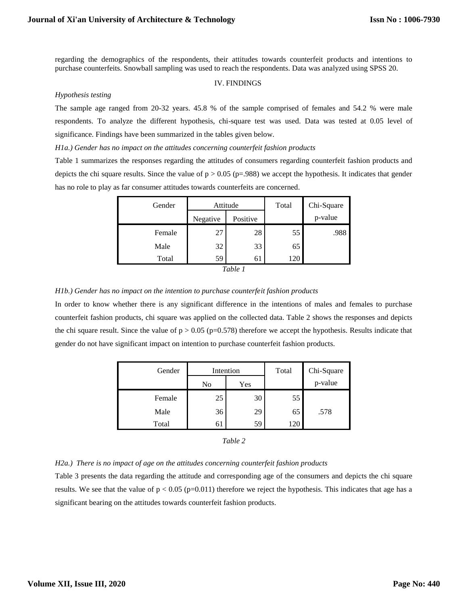regarding the demographics of the respondents, their attitudes towards counterfeit products and intentions to purchase counterfeits. Snowball sampling was used to reach the respondents. Data was analyzed using SPSS 20.

#### IV. FINDINGS

#### *Hypothesis testing*

The sample age ranged from 20-32 years. 45.8 % of the sample comprised of females and 54.2 % were male respondents. To analyze the different hypothesis, chi-square test was used. Data was tested at 0.05 level of significance. Findings have been summarized in the tables given below.

*H1a.) Gender has no impact on the attitudes concerning counterfeit fashion products*

Table 1 summarizes the responses regarding the attitudes of consumers regarding counterfeit fashion products and depicts the chi square results. Since the value of  $p > 0.05$  (p=.988) we accept the hypothesis. It indicates that gender has no role to play as far consumer attitudes towards counterfeits are concerned.

| Gender | Attitude |          | Total | Chi-Square |
|--------|----------|----------|-------|------------|
|        | Negative | Positive |       | p-value    |
| Female | 27       | 28       | 55    | .988       |
| Male   | 32       | 33       | 65    |            |
| Total  | 59       | 61       | 120   |            |
|        |          | Table 1  |       |            |

#### *H1b.) Gender has no impact on the intention to purchase counterfeit fashion products*

In order to know whether there is any significant difference in the intentions of males and females to purchase counterfeit fashion products, chi square was applied on the collected data. Table 2 shows the responses and depicts the chi square result. Since the value of  $p > 0.05$  (p=0.578) therefore we accept the hypothesis. Results indicate that gender do not have significant impact on intention to purchase counterfeit fashion products.

| Gender | Intention |     | Total | Chi-Square |
|--------|-----------|-----|-------|------------|
|        | No        | Yes |       | p-value    |
| Female | 25        | 30  | 55    |            |
| Male   | 36        | 29  | 65    | .578       |
| Total  | 61        | 59  | 120   |            |

### *H2a.) There is no impact of age on the attitudes concerning counterfeit fashion products*

Table 3 presents the data regarding the attitude and corresponding age of the consumers and depicts the chi square results. We see that the value of  $p < 0.05$  (p=0.011) therefore we reject the hypothesis. This indicates that age has a significant bearing on the attitudes towards counterfeit fashion products.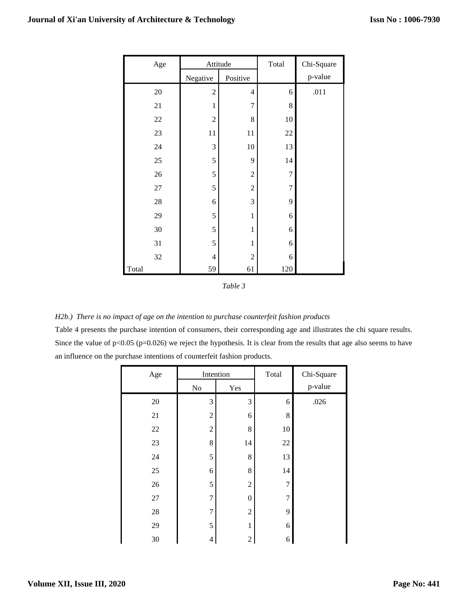| Age    | Attitude       |                | Total          | Chi-Square |
|--------|----------------|----------------|----------------|------------|
|        | Negative       | Positive       |                | p-value    |
| $20\,$ | $\overline{2}$ | $\overline{4}$ | 6              | .011       |
| 21     | $\mathbf{1}$   | 7              | 8              |            |
| $22\,$ | $\overline{c}$ | 8              | 10             |            |
| 23     | 11             | 11             | $22\,$         |            |
| 24     | 3              | 10             | 13             |            |
| 25     | 5              | 9              | 14             |            |
| $26\,$ | 5              | $\overline{c}$ | $\overline{7}$ |            |
| $27\,$ | 5              | $\overline{c}$ | $\overline{7}$ |            |
| $28\,$ | 6              | 3              | 9              |            |
| 29     | 5              | $\mathbf{1}$   | 6              |            |
| 30     | 5              | $\mathbf{1}$   | 6              |            |
| 31     | 5              | $\mathbf{1}$   | 6              |            |
| 32     | 4              | $\overline{c}$ | 6              |            |
| Total  | 59             | 61             | 120            |            |

*Table 3*

*H2b.) There is no impact of age on the intention to purchase counterfeit fashion products*

Table 4 presents the purchase intention of consumers, their corresponding age and illustrates the chi square results. Since the value of  $p<0.05$  ( $p=0.026$ ) we reject the hypothesis. It is clear from the results that age also seems to have an influence on the purchase intentions of counterfeit fashion products.

| Age    | Intention                |                  | Total | Chi-Square |
|--------|--------------------------|------------------|-------|------------|
|        | $\rm No$                 | Yes              |       | p-value    |
| $20\,$ | 3                        | 3                | 6     | .026       |
| 21     | $\overline{c}$           | 6                | 8     |            |
| $22\,$ | $\mathfrak{2}$           | 8                | 10    |            |
| $23\,$ | $8\,$                    | 14               | 22    |            |
| 24     | 5                        | 8                | 13    |            |
| $25\,$ | 6                        | 8                | 14    |            |
| $26\,$ | 5                        | $\overline{c}$   | 7     |            |
| $27\,$ | $\overline{7}$           | $\boldsymbol{0}$ | 7     |            |
| $28\,$ | 7                        | $\overline{c}$   | 9     |            |
| 29     | 5                        | 1                | 6     |            |
| $30\,$ | $\overline{\mathcal{A}}$ | $\overline{c}$   | 6     |            |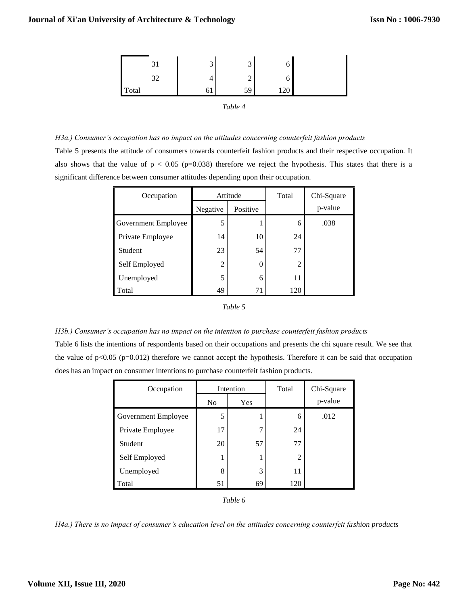|          | 3  | $\overline{2}$<br>ت | O   |  |
|----------|----|---------------------|-----|--|
| 32<br>ىر |    | ◠<br>∼              | O   |  |
| Total    | Οl | 59                  | 120 |  |
|          |    | Table 4             |     |  |

*H3a.) Consumer's occupation has no impact on the attitudes concerning counterfeit fashion products*  Table 5 presents the attitude of consumers towards counterfeit fashion products and their respective occupation. It also shows that the value of  $p < 0.05$  (p=0.038) therefore we reject the hypothesis. This states that there is a significant difference between consumer attitudes depending upon their occupation.

| Occupation          | Attitude |          | Total | Chi-Square |
|---------------------|----------|----------|-------|------------|
|                     | Negative | Positive |       | p-value    |
| Government Employee | 5        |          | 6     | .038       |
| Private Employee    | 14       | 10       | 24    |            |
| Student             | 23       | 54       | 77    |            |
| Self Employed       | 2        | 0        | 2     |            |
| Unemployed          | 5        | 6        | 11    |            |
| Total               | 49       | 71       | 120   |            |

#### *Table 5*

*H3b.) Consumer's occupation has no impact on the intention to purchase counterfeit fashion products* Table 6 lists the intentions of respondents based on their occupations and presents the chi square result. We see that

the value of  $p<0.05$  ( $p=0.012$ ) therefore we cannot accept the hypothesis. Therefore it can be said that occupation does has an impact on consumer intentions to purchase counterfeit fashion products.

| Occupation          | Intention      |     | Total | Chi-Square |
|---------------------|----------------|-----|-------|------------|
|                     | N <sub>0</sub> | Yes |       | p-value    |
| Government Employee | 5              |     | 6     | .012       |
| Private Employee    | 17             | 7   | 24    |            |
| Student             | 20             | 57  | 77    |            |
| Self Employed       |                |     | 2     |            |
| Unemployed          | 8              | 3   | 11    |            |
| Total               | 51             | 69  | 120   |            |

*Table 6*

*H4a.) There is no impact of consumer's education level on the attitudes concerning counterfeit fashion products*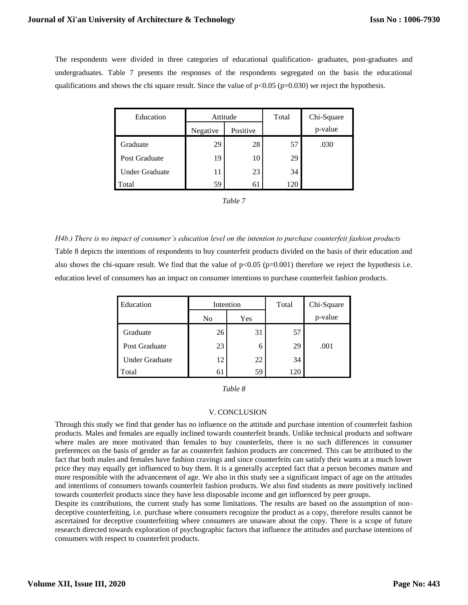The respondents were divided in three categories of educational qualification- graduates, post-graduates and undergraduates. Table 7 presents the responses of the respondents segregated on the basis the educational qualifications and shows the chi square result. Since the value of  $p<0.05$  ( $p=0.030$ ) we reject the hypothesis.

| Education             | Attitude |          | Total | Chi-Square |
|-----------------------|----------|----------|-------|------------|
|                       | Negative | Positive |       | p-value    |
| Graduate              | 29       | 28       | 57    | .030       |
| Post Graduate         | 19       | 10       | 29    |            |
| <b>Under Graduate</b> | 11       | 23       | 34    |            |
| Total                 | 59       | 61       | 120   |            |

*H4b.) There is no impact of consumer's education level on the intention to purchase counterfeit fashion products* Table 8 depicts the intentions of respondents to buy counterfeit products divided on the basis of their education and also shows the chi-square result. We find that the value of  $p<0.05$  ( $p=0.001$ ) therefore we reject the hypothesis i.e. education level of consumers has an impact on consumer intentions to purchase counterfeit fashion products.

| Education             | Intention |     | Total | Chi-Square |
|-----------------------|-----------|-----|-------|------------|
|                       | No        | Yes |       | p-value    |
| Graduate              | 26        | 31  | 57    |            |
| Post Graduate         | 23        | 6   | 29    | .001       |
| <b>Under Graduate</b> | 12        | 22  | 34    |            |
| Total                 | 61        | 59  | 120   |            |

| able |
|------|
|------|

### V. CONCLUSION

Through this study we find that gender has no influence on the attitude and purchase intention of counterfeit fashion products. Males and females are equally inclined towards counterfeit brands. Unlike technical products and software where males are more motivated than females to buy counterfeits, there is no such differences in consumer preferences on the basis of gender as far as counterfeit fashion products are concerned. This can be attributed to the fact that both males and females have fashion cravings and since counterfeits can satisfy their wants at a much lower price they may equally get influenced to buy them. It is a generally accepted fact that a person becomes mature and more responsible with the advancement of age. We also in this study see a significant impact of age on the attitudes and intentions of consumers towards counterfeit fashion products. We also find students as more positively inclined towards counterfeit products since they have less disposable income and get influenced by peer groups.

Despite its contributions, the current study has some limitations. The results are based on the assumption of nondeceptive counterfeiting, i.e. purchase where consumers recognize the product as a copy, therefore results cannot be ascertained for deceptive counterfeiting where consumers are unaware about the copy. There is a scope of future research directed towards exploration of psychographic factors that influence the attitudes and purchase intentions of consumers with respect to counterfeit products.